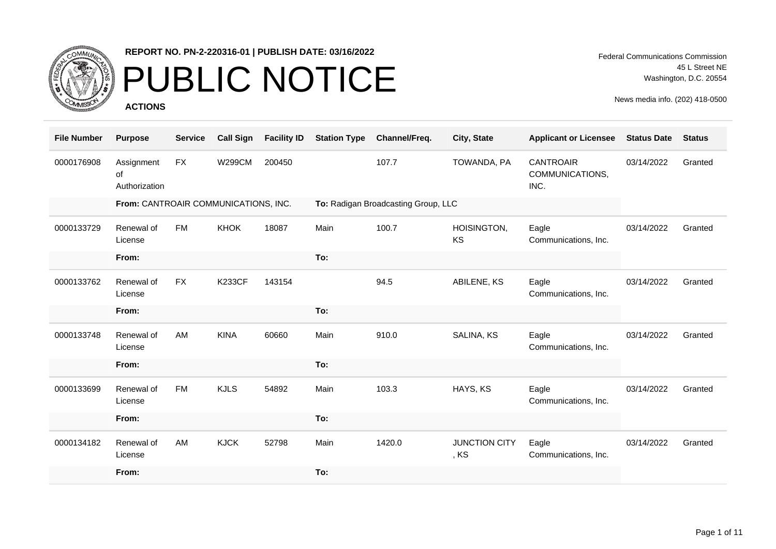

## PUBLIC NOTICE

**ACTIONS**

Federal Communications Commission 45 L Street NE Washington, D.C. 20554

| <b>File Number</b> | <b>Purpose</b>                       | <b>Service</b> | <b>Call Sign</b> | <b>Facility ID</b> | <b>Station Type</b> | Channel/Freq.                       | City, State                  | <b>Applicant or Licensee</b>                | <b>Status Date</b> | <b>Status</b> |
|--------------------|--------------------------------------|----------------|------------------|--------------------|---------------------|-------------------------------------|------------------------------|---------------------------------------------|--------------------|---------------|
| 0000176908         | Assignment<br>of<br>Authorization    | <b>FX</b>      | <b>W299CM</b>    | 200450             |                     | 107.7                               | TOWANDA, PA                  | <b>CANTROAIR</b><br>COMMUNICATIONS,<br>INC. | 03/14/2022         | Granted       |
|                    | From: CANTROAIR COMMUNICATIONS, INC. |                |                  |                    |                     | To: Radigan Broadcasting Group, LLC |                              |                                             |                    |               |
| 0000133729         | Renewal of<br>License                | <b>FM</b>      | <b>KHOK</b>      | 18087              | Main                | 100.7                               | HOISINGTON,<br>KS            | Eagle<br>Communications, Inc.               | 03/14/2022         | Granted       |
|                    | From:                                |                |                  |                    | To:                 |                                     |                              |                                             |                    |               |
| 0000133762         | Renewal of<br>License                | <b>FX</b>      | <b>K233CF</b>    | 143154             |                     | 94.5                                | ABILENE, KS                  | Eagle<br>Communications, Inc.               | 03/14/2022         | Granted       |
|                    | From:                                |                |                  |                    | To:                 |                                     |                              |                                             |                    |               |
| 0000133748         | Renewal of<br>License                | AM             | <b>KINA</b>      | 60660              | Main                | 910.0                               | SALINA, KS                   | Eagle<br>Communications, Inc.               | 03/14/2022         | Granted       |
|                    | From:                                |                |                  |                    | To:                 |                                     |                              |                                             |                    |               |
| 0000133699         | Renewal of<br>License                | <b>FM</b>      | <b>KJLS</b>      | 54892              | Main                | 103.3                               | HAYS, KS                     | Eagle<br>Communications, Inc.               | 03/14/2022         | Granted       |
|                    | From:                                |                |                  |                    | To:                 |                                     |                              |                                             |                    |               |
| 0000134182         | Renewal of<br>License                | AM             | <b>KJCK</b>      | 52798              | Main                | 1420.0                              | <b>JUNCTION CITY</b><br>, KS | Eagle<br>Communications, Inc.               | 03/14/2022         | Granted       |
|                    | From:                                |                |                  |                    | To:                 |                                     |                              |                                             |                    |               |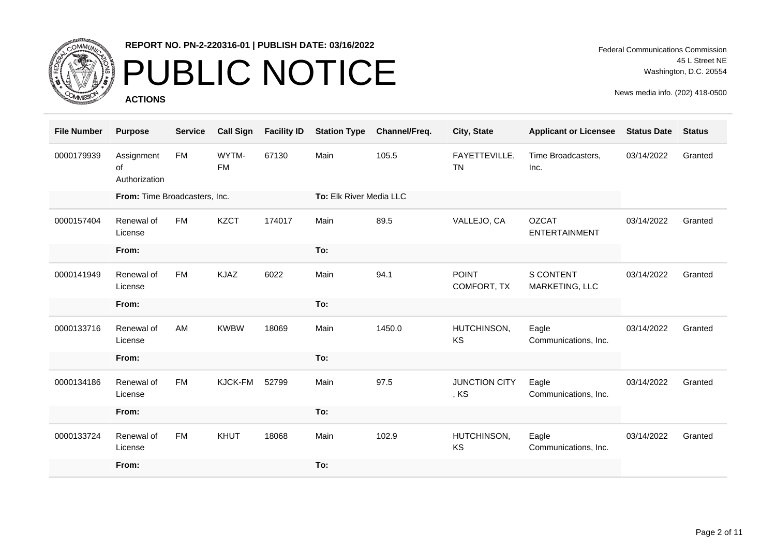

# PUBLIC NOTICE

**ACTIONS**

Federal Communications Commission 45 L Street NE Washington, D.C. 20554

| <b>File Number</b> | <b>Purpose</b>                    | <b>Service</b> | <b>Call Sign</b>   | <b>Facility ID</b> | <b>Station Type</b>     | Channel/Freq. | City, State                  | <b>Applicant or Licensee</b>         | <b>Status Date</b> | <b>Status</b> |
|--------------------|-----------------------------------|----------------|--------------------|--------------------|-------------------------|---------------|------------------------------|--------------------------------------|--------------------|---------------|
| 0000179939         | Assignment<br>of<br>Authorization | <b>FM</b>      | WYTM-<br><b>FM</b> | 67130              | Main                    | 105.5         | FAYETTEVILLE,<br><b>TN</b>   | Time Broadcasters,<br>Inc.           | 03/14/2022         | Granted       |
|                    | From: Time Broadcasters, Inc.     |                |                    |                    | To: Elk River Media LLC |               |                              |                                      |                    |               |
| 0000157404         | Renewal of<br>License             | <b>FM</b>      | <b>KZCT</b>        | 174017             | Main                    | 89.5          | VALLEJO, CA                  | <b>OZCAT</b><br><b>ENTERTAINMENT</b> | 03/14/2022         | Granted       |
|                    | From:                             |                |                    |                    | To:                     |               |                              |                                      |                    |               |
| 0000141949         | Renewal of<br>License             | <b>FM</b>      | <b>KJAZ</b>        | 6022               | Main                    | 94.1          | <b>POINT</b><br>COMFORT, TX  | <b>S CONTENT</b><br>MARKETING, LLC   | 03/14/2022         | Granted       |
|                    | From:                             |                |                    |                    | To:                     |               |                              |                                      |                    |               |
| 0000133716         | Renewal of<br>License             | AM             | <b>KWBW</b>        | 18069              | Main                    | 1450.0        | HUTCHINSON,<br>KS            | Eagle<br>Communications, Inc.        | 03/14/2022         | Granted       |
|                    | From:                             |                |                    |                    | To:                     |               |                              |                                      |                    |               |
| 0000134186         | Renewal of<br>License             | <b>FM</b>      | KJCK-FM            | 52799              | Main                    | 97.5          | <b>JUNCTION CITY</b><br>, KS | Eagle<br>Communications, Inc.        | 03/14/2022         | Granted       |
|                    | From:                             |                |                    |                    | To:                     |               |                              |                                      |                    |               |
| 0000133724         | Renewal of<br>License             | <b>FM</b>      | KHUT               | 18068              | Main                    | 102.9         | HUTCHINSON,<br>KS            | Eagle<br>Communications, Inc.        | 03/14/2022         | Granted       |
|                    | From:                             |                |                    |                    | To:                     |               |                              |                                      |                    |               |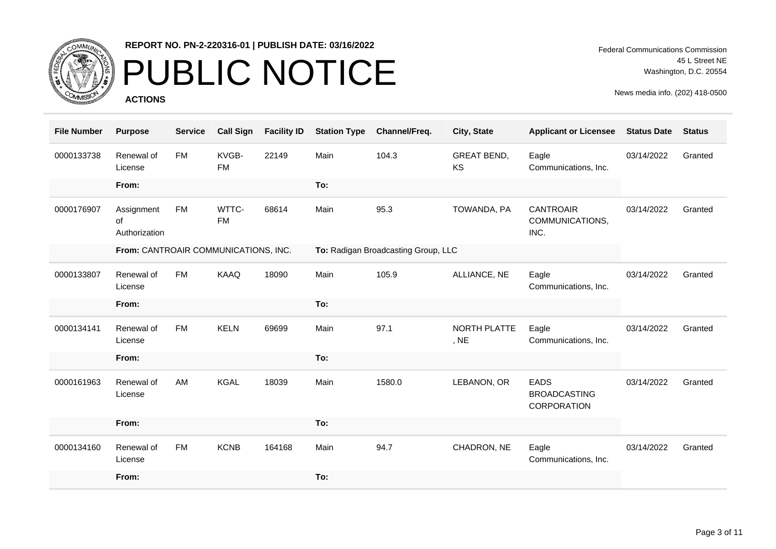

## PUBLIC NOTICE

**ACTIONS**

Federal Communications Commission 45 L Street NE Washington, D.C. 20554

| <b>File Number</b> | <b>Purpose</b>                       | <b>Service</b> | <b>Call Sign</b>   | <b>Facility ID</b> | <b>Station Type</b> | Channel/Freq.                       | City, State                     | <b>Applicant or Licensee</b>                      | <b>Status Date</b> | <b>Status</b> |
|--------------------|--------------------------------------|----------------|--------------------|--------------------|---------------------|-------------------------------------|---------------------------------|---------------------------------------------------|--------------------|---------------|
| 0000133738         | Renewal of<br>License                | <b>FM</b>      | KVGB-<br><b>FM</b> | 22149              | Main                | 104.3                               | <b>GREAT BEND,</b><br><b>KS</b> | Eagle<br>Communications, Inc.                     | 03/14/2022         | Granted       |
|                    | From:                                |                |                    |                    | To:                 |                                     |                                 |                                                   |                    |               |
| 0000176907         | Assignment<br>of<br>Authorization    | FM             | WTTC-<br><b>FM</b> | 68614              | Main                | 95.3                                | TOWANDA, PA                     | <b>CANTROAIR</b><br>COMMUNICATIONS,<br>INC.       | 03/14/2022         | Granted       |
|                    | From: CANTROAIR COMMUNICATIONS, INC. |                |                    |                    |                     | To: Radigan Broadcasting Group, LLC |                                 |                                                   |                    |               |
| 0000133807         | Renewal of<br>License                | FM             | KAAQ               | 18090              | Main                | 105.9                               | ALLIANCE, NE                    | Eagle<br>Communications, Inc.                     | 03/14/2022         | Granted       |
|                    | From:                                |                |                    |                    | To:                 |                                     |                                 |                                                   |                    |               |
| 0000134141         | Renewal of<br>License                | <b>FM</b>      | <b>KELN</b>        | 69699              | Main                | 97.1                                | NORTH PLATTE<br>, NE            | Eagle<br>Communications, Inc.                     | 03/14/2022         | Granted       |
|                    | From:                                |                |                    |                    | To:                 |                                     |                                 |                                                   |                    |               |
| 0000161963         | Renewal of<br>License                | AM             | <b>KGAL</b>        | 18039              | Main                | 1580.0                              | LEBANON, OR                     | <b>EADS</b><br><b>BROADCASTING</b><br>CORPORATION | 03/14/2022         | Granted       |
|                    | From:                                |                |                    |                    | To:                 |                                     |                                 |                                                   |                    |               |
| 0000134160         | Renewal of<br>License                | FM             | <b>KCNB</b>        | 164168             | Main                | 94.7                                | CHADRON, NE                     | Eagle<br>Communications, Inc.                     | 03/14/2022         | Granted       |
|                    | From:                                |                |                    |                    | To:                 |                                     |                                 |                                                   |                    |               |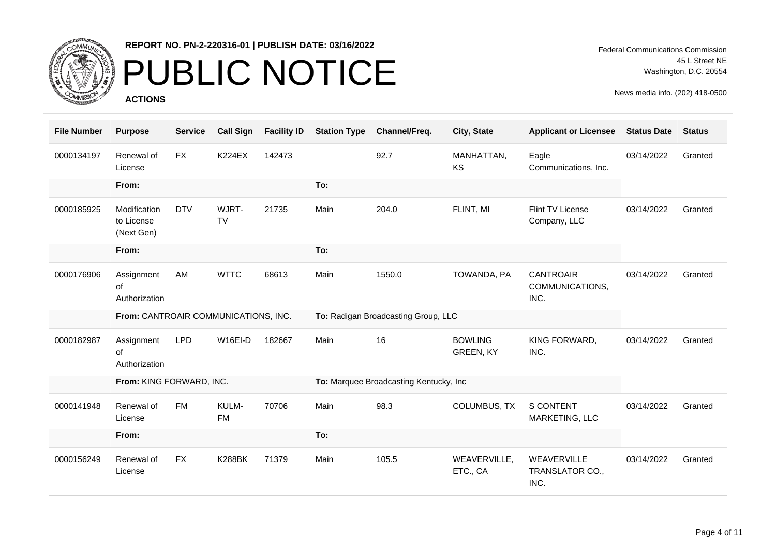

# PUBLIC NOTICE

**ACTIONS**

Federal Communications Commission 45 L Street NE Washington, D.C. 20554

| <b>File Number</b> | <b>Purpose</b>                           | <b>Service</b> | <b>Call Sign</b>   | <b>Facility ID</b> | <b>Station Type</b> | Channel/Freq.                           | City, State                 | <b>Applicant or Licensee</b>                | <b>Status Date</b> | <b>Status</b> |
|--------------------|------------------------------------------|----------------|--------------------|--------------------|---------------------|-----------------------------------------|-----------------------------|---------------------------------------------|--------------------|---------------|
| 0000134197         | Renewal of<br>License                    | <b>FX</b>      | <b>K224EX</b>      | 142473             |                     | 92.7                                    | MANHATTAN,<br><b>KS</b>     | Eagle<br>Communications, Inc.               | 03/14/2022         | Granted       |
|                    | From:                                    |                |                    |                    | To:                 |                                         |                             |                                             |                    |               |
| 0000185925         | Modification<br>to License<br>(Next Gen) | <b>DTV</b>     | WJRT-<br><b>TV</b> | 21735              | Main                | 204.0                                   | FLINT, MI                   | Flint TV License<br>Company, LLC            | 03/14/2022         | Granted       |
|                    | From:                                    |                |                    |                    | To:                 |                                         |                             |                                             |                    |               |
| 0000176906         | Assignment<br>οf<br>Authorization        | AM             | <b>WTTC</b>        | 68613              | Main                | 1550.0                                  | TOWANDA, PA                 | <b>CANTROAIR</b><br>COMMUNICATIONS,<br>INC. | 03/14/2022         | Granted       |
|                    | From: CANTROAIR COMMUNICATIONS, INC.     |                |                    |                    |                     | To: Radigan Broadcasting Group, LLC     |                             |                                             |                    |               |
| 0000182987         | Assignment<br>of<br>Authorization        | <b>LPD</b>     | W16EI-D            | 182667             | Main                | 16                                      | <b>BOWLING</b><br>GREEN, KY | KING FORWARD,<br>INC.                       | 03/14/2022         | Granted       |
|                    | From: KING FORWARD, INC.                 |                |                    |                    |                     | To: Marquee Broadcasting Kentucky, Inc. |                             |                                             |                    |               |
| 0000141948         | Renewal of<br>License                    | <b>FM</b>      | KULM-<br><b>FM</b> | 70706              | Main                | 98.3                                    | COLUMBUS, TX                | <b>S CONTENT</b><br>MARKETING, LLC          | 03/14/2022         | Granted       |
|                    | From:                                    |                |                    |                    | To:                 |                                         |                             |                                             |                    |               |
| 0000156249         | Renewal of<br>License                    | <b>FX</b>      | <b>K288BK</b>      | 71379              | Main                | 105.5                                   | WEAVERVILLE,<br>ETC., CA    | WEAVERVILLE<br>TRANSLATOR CO.,              | 03/14/2022         | Granted       |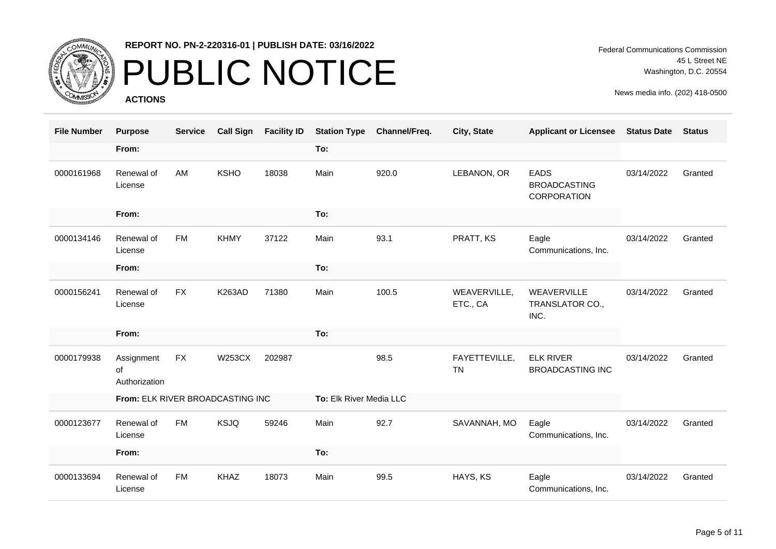

# PUBLIC NOTICE

**ACTIONS**

Federal Communications Commission 45 L Street NE Washington, D.C. 20554

| <b>File Number</b> | <b>Purpose</b>                    | <b>Service</b> | <b>Call Sign</b> | <b>Facility ID</b> | <b>Station Type</b>     | Channel/Freq. | City, State                | <b>Applicant or Licensee</b>                      | <b>Status Date</b> | <b>Status</b> |
|--------------------|-----------------------------------|----------------|------------------|--------------------|-------------------------|---------------|----------------------------|---------------------------------------------------|--------------------|---------------|
|                    | From:                             |                |                  |                    | To:                     |               |                            |                                                   |                    |               |
| 0000161968         | Renewal of<br>License             | AM             | <b>KSHO</b>      | 18038              | Main                    | 920.0         | LEBANON, OR                | <b>EADS</b><br><b>BROADCASTING</b><br>CORPORATION | 03/14/2022         | Granted       |
|                    | From:                             |                |                  |                    | To:                     |               |                            |                                                   |                    |               |
| 0000134146         | Renewal of<br>License             | <b>FM</b>      | <b>KHMY</b>      | 37122              | Main                    | 93.1          | PRATT, KS                  | Eagle<br>Communications, Inc.                     | 03/14/2022         | Granted       |
|                    | From:                             |                |                  |                    | To:                     |               |                            |                                                   |                    |               |
| 0000156241         | Renewal of<br>License             | <b>FX</b>      | <b>K263AD</b>    | 71380              | Main                    | 100.5         | WEAVERVILLE,<br>ETC., CA   | WEAVERVILLE<br>TRANSLATOR CO.,<br>INC.            | 03/14/2022         | Granted       |
|                    | From:                             |                |                  |                    | To:                     |               |                            |                                                   |                    |               |
| 0000179938         | Assignment<br>οf<br>Authorization | <b>FX</b>      | <b>W253CX</b>    | 202987             |                         | 98.5          | FAYETTEVILLE,<br><b>TN</b> | <b>ELK RIVER</b><br><b>BROADCASTING INC</b>       | 03/14/2022         | Granted       |
|                    | From: ELK RIVER BROADCASTING INC  |                |                  |                    | To: Elk River Media LLC |               |                            |                                                   |                    |               |
| 0000123677         | Renewal of<br>License             | <b>FM</b>      | <b>KSJQ</b>      | 59246              | Main                    | 92.7          | SAVANNAH, MO               | Eagle<br>Communications, Inc.                     | 03/14/2022         | Granted       |
|                    | From:                             |                |                  |                    | To:                     |               |                            |                                                   |                    |               |
| 0000133694         | Renewal of<br>License             | <b>FM</b>      | <b>KHAZ</b>      | 18073              | Main                    | 99.5          | HAYS, KS                   | Eagle<br>Communications, Inc.                     | 03/14/2022         | Granted       |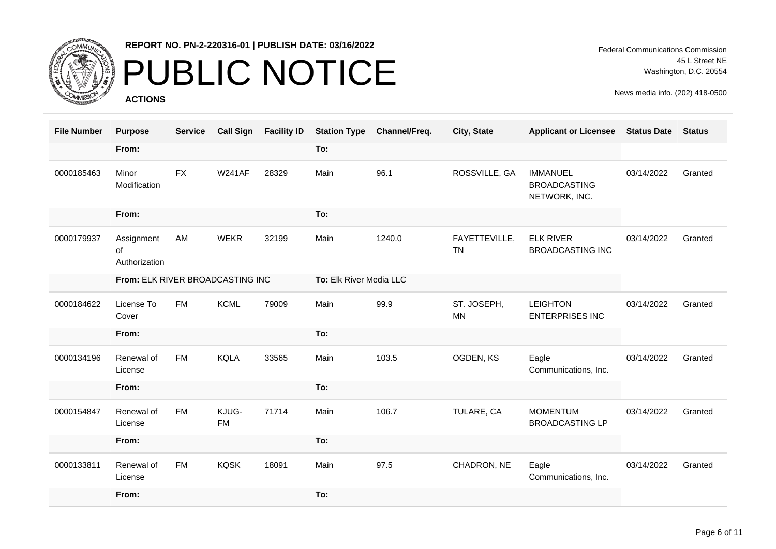

# PUBLIC NOTICE

**ACTIONS**

Federal Communications Commission 45 L Street NE Washington, D.C. 20554

| <b>File Number</b> | <b>Purpose</b>                    | <b>Service</b> |                    | Call Sign Facility ID | <b>Station Type</b>     | Channel/Freq. | City, State                | <b>Applicant or Licensee Status Date</b>                |            | <b>Status</b> |
|--------------------|-----------------------------------|----------------|--------------------|-----------------------|-------------------------|---------------|----------------------------|---------------------------------------------------------|------------|---------------|
|                    | From:                             |                |                    |                       | To:                     |               |                            |                                                         |            |               |
| 0000185463         | Minor<br>Modification             | <b>FX</b>      | <b>W241AF</b>      | 28329                 | Main                    | 96.1          | ROSSVILLE, GA              | <b>IMMANUEL</b><br><b>BROADCASTING</b><br>NETWORK, INC. | 03/14/2022 | Granted       |
|                    | From:                             |                |                    |                       | To:                     |               |                            |                                                         |            |               |
| 0000179937         | Assignment<br>of<br>Authorization | AM             | <b>WEKR</b>        | 32199                 | Main                    | 1240.0        | FAYETTEVILLE,<br><b>TN</b> | <b>ELK RIVER</b><br><b>BROADCASTING INC</b>             | 03/14/2022 | Granted       |
|                    | From: ELK RIVER BROADCASTING INC  |                |                    |                       | To: Elk River Media LLC |               |                            |                                                         |            |               |
| 0000184622         | License To<br>Cover               | FM             | <b>KCML</b>        | 79009                 | Main                    | 99.9          | ST. JOSEPH,<br><b>MN</b>   | <b>LEIGHTON</b><br><b>ENTERPRISES INC</b>               | 03/14/2022 | Granted       |
|                    | From:                             |                |                    |                       | To:                     |               |                            |                                                         |            |               |
| 0000134196         | Renewal of<br>License             | <b>FM</b>      | <b>KQLA</b>        | 33565                 | Main                    | 103.5         | OGDEN, KS                  | Eagle<br>Communications, Inc.                           | 03/14/2022 | Granted       |
|                    | From:                             |                |                    |                       | To:                     |               |                            |                                                         |            |               |
| 0000154847         | Renewal of<br>License             | <b>FM</b>      | KJUG-<br><b>FM</b> | 71714                 | Main                    | 106.7         | TULARE, CA                 | <b>MOMENTUM</b><br><b>BROADCASTING LP</b>               | 03/14/2022 | Granted       |
|                    | From:                             |                |                    |                       | To:                     |               |                            |                                                         |            |               |
| 0000133811         | Renewal of<br>License             | <b>FM</b>      | <b>KQSK</b>        | 18091                 | Main                    | 97.5          | CHADRON, NE                | Eagle<br>Communications, Inc.                           | 03/14/2022 | Granted       |
|                    | From:                             |                |                    |                       | To:                     |               |                            |                                                         |            |               |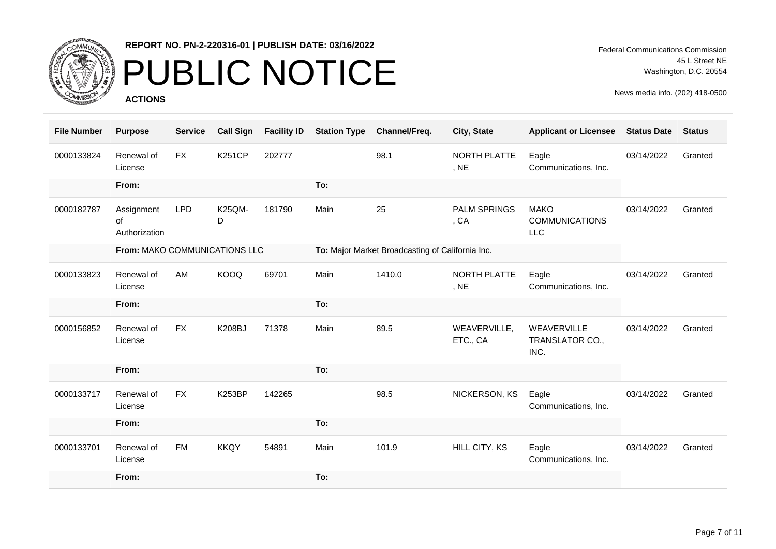

# PUBLIC NOTICE

**ACTIONS**

Federal Communications Commission 45 L Street NE Washington, D.C. 20554

| <b>File Number</b> | <b>Purpose</b>                    | <b>Service</b> | <b>Call Sign</b> | <b>Facility ID</b> | <b>Station Type</b> | Channel/Freq.                                    | City, State                 | <b>Applicant or Licensee</b>                       | <b>Status Date</b> | <b>Status</b> |
|--------------------|-----------------------------------|----------------|------------------|--------------------|---------------------|--------------------------------------------------|-----------------------------|----------------------------------------------------|--------------------|---------------|
| 0000133824         | Renewal of<br>License             | <b>FX</b>      | <b>K251CP</b>    | 202777             |                     | 98.1                                             | NORTH PLATTE<br>, NE        | Eagle<br>Communications, Inc.                      | 03/14/2022         | Granted       |
|                    | From:                             |                |                  |                    | To:                 |                                                  |                             |                                                    |                    |               |
| 0000182787         | Assignment<br>of<br>Authorization | <b>LPD</b>     | K25QM-<br>D      | 181790             | Main                | 25                                               | <b>PALM SPRINGS</b><br>, CA | <b>MAKO</b><br><b>COMMUNICATIONS</b><br><b>LLC</b> | 03/14/2022         | Granted       |
|                    | From: MAKO COMMUNICATIONS LLC     |                |                  |                    |                     | To: Major Market Broadcasting of California Inc. |                             |                                                    |                    |               |
| 0000133823         | Renewal of<br>License             | AM             | <b>KOOQ</b>      | 69701              | Main                | 1410.0                                           | NORTH PLATTE<br>, NE        | Eagle<br>Communications, Inc.                      | 03/14/2022         | Granted       |
|                    | From:                             |                |                  |                    | To:                 |                                                  |                             |                                                    |                    |               |
| 0000156852         | Renewal of<br>License             | <b>FX</b>      | <b>K208BJ</b>    | 71378              | Main                | 89.5                                             | WEAVERVILLE,<br>ETC., CA    | WEAVERVILLE<br>TRANSLATOR CO.,<br>INC.             | 03/14/2022         | Granted       |
|                    | From:                             |                |                  |                    | To:                 |                                                  |                             |                                                    |                    |               |
| 0000133717         | Renewal of<br>License             | <b>FX</b>      | <b>K253BP</b>    | 142265             |                     | 98.5                                             | NICKERSON, KS               | Eagle<br>Communications, Inc.                      | 03/14/2022         | Granted       |
|                    | From:                             |                |                  |                    | To:                 |                                                  |                             |                                                    |                    |               |
| 0000133701         | Renewal of<br>License             | <b>FM</b>      | <b>KKQY</b>      | 54891              | Main                | 101.9                                            | HILL CITY, KS               | Eagle<br>Communications, Inc.                      | 03/14/2022         | Granted       |
|                    | From:                             |                |                  |                    | To:                 |                                                  |                             |                                                    |                    |               |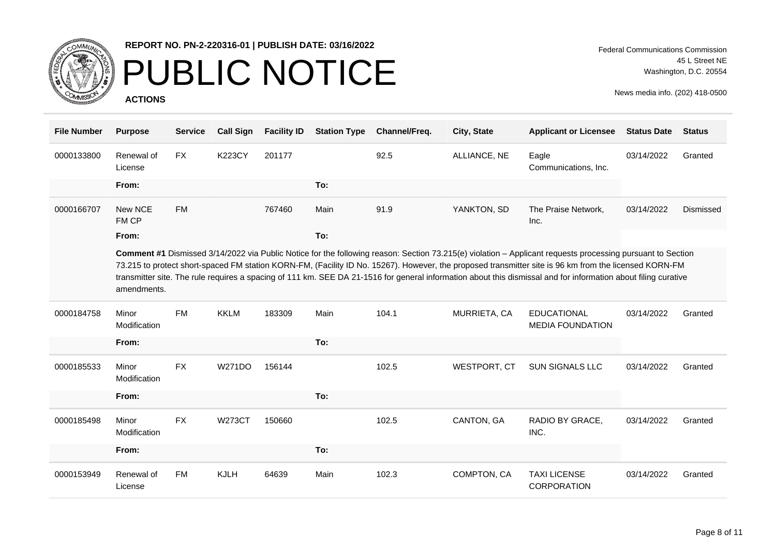

## PUBLIC NOTICE

**ACTIONS**

| <b>File Number</b> | <b>Purpose</b>        | <b>Service</b> | <b>Call Sign</b> | <b>Facility ID</b> | <b>Station Type</b> | Channel/Freq. | City, State  | <b>Applicant or Licensee</b>                                                                                                                                                                                                                                                                                                                                                                                                                                                          | <b>Status Date</b> | <b>Status</b> |
|--------------------|-----------------------|----------------|------------------|--------------------|---------------------|---------------|--------------|---------------------------------------------------------------------------------------------------------------------------------------------------------------------------------------------------------------------------------------------------------------------------------------------------------------------------------------------------------------------------------------------------------------------------------------------------------------------------------------|--------------------|---------------|
| 0000133800         | Renewal of<br>License | <b>FX</b>      | <b>K223CY</b>    | 201177             |                     | 92.5          | ALLIANCE, NE | Eagle<br>Communications, Inc.                                                                                                                                                                                                                                                                                                                                                                                                                                                         | 03/14/2022         | Granted       |
|                    | From:                 |                |                  |                    | To:                 |               |              |                                                                                                                                                                                                                                                                                                                                                                                                                                                                                       |                    |               |
| 0000166707         | New NCE<br>FM CP      | <b>FM</b>      |                  | 767460             | Main                | 91.9          | YANKTON, SD  | The Praise Network,<br>Inc.                                                                                                                                                                                                                                                                                                                                                                                                                                                           | 03/14/2022         | Dismissed     |
|                    | From:                 |                |                  |                    | To:                 |               |              |                                                                                                                                                                                                                                                                                                                                                                                                                                                                                       |                    |               |
|                    | amendments.           |                |                  |                    |                     |               |              | Comment #1 Dismissed 3/14/2022 via Public Notice for the following reason: Section 73.215(e) violation - Applicant requests processing pursuant to Section<br>73.215 to protect short-spaced FM station KORN-FM, (Facility ID No. 15267). However, the proposed transmitter site is 96 km from the licensed KORN-FM<br>transmitter site. The rule requires a spacing of 111 km. SEE DA 21-1516 for general information about this dismissal and for information about filing curative |                    |               |
| 0000184758         | Minor<br>Modification | <b>FM</b>      | <b>KKLM</b>      | 183309             | Main                | 104.1         | MURRIETA, CA | <b>EDUCATIONAL</b><br><b>MEDIA FOUNDATION</b>                                                                                                                                                                                                                                                                                                                                                                                                                                         | 03/14/2022         | Granted       |
|                    | From:                 |                |                  |                    | To:                 |               |              |                                                                                                                                                                                                                                                                                                                                                                                                                                                                                       |                    |               |
| 0000185533         | Minor<br>Modification | <b>FX</b>      | <b>W271DO</b>    | 156144             |                     | 102.5         | WESTPORT, CT | <b>SUN SIGNALS LLC</b>                                                                                                                                                                                                                                                                                                                                                                                                                                                                | 03/14/2022         | Granted       |
|                    | From:                 |                |                  |                    | To:                 |               |              |                                                                                                                                                                                                                                                                                                                                                                                                                                                                                       |                    |               |
| 0000185498         | Minor<br>Modification | <b>FX</b>      | <b>W273CT</b>    | 150660             |                     | 102.5         | CANTON, GA   | RADIO BY GRACE,<br>INC.                                                                                                                                                                                                                                                                                                                                                                                                                                                               | 03/14/2022         | Granted       |
|                    | From:                 |                |                  |                    | To:                 |               |              |                                                                                                                                                                                                                                                                                                                                                                                                                                                                                       |                    |               |
| 0000153949         | Renewal of<br>License | <b>FM</b>      | <b>KJLH</b>      | 64639              | Main                | 102.3         | COMPTON, CA  | <b>TAXI LICENSE</b><br><b>CORPORATION</b>                                                                                                                                                                                                                                                                                                                                                                                                                                             | 03/14/2022         | Granted       |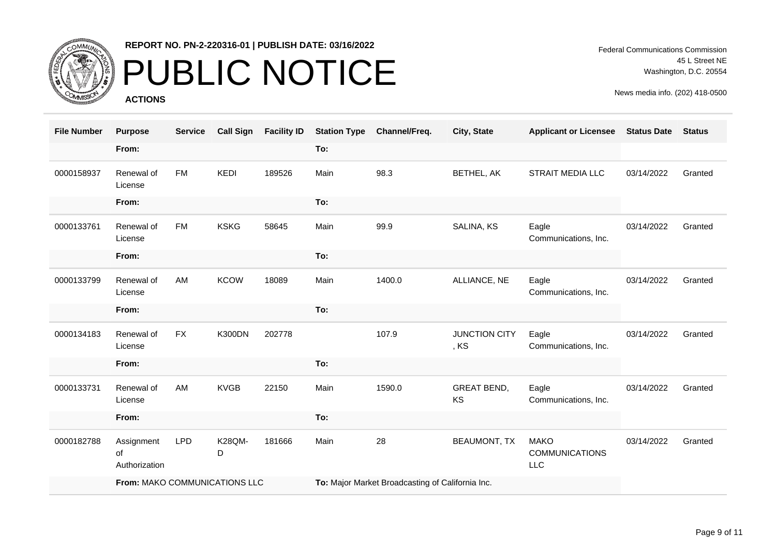

# PUBLIC NOTICE

**ACTIONS**

Federal Communications Commission 45 L Street NE Washington, D.C. 20554

| <b>File Number</b> | <b>Purpose</b>                    | <b>Service</b> | <b>Call Sign</b> | <b>Facility ID</b> | <b>Station Type</b> | Channel/Freq.                                    | City, State                  | <b>Applicant or Licensee</b>                       | <b>Status Date</b> | <b>Status</b> |
|--------------------|-----------------------------------|----------------|------------------|--------------------|---------------------|--------------------------------------------------|------------------------------|----------------------------------------------------|--------------------|---------------|
|                    | From:                             |                |                  |                    | To:                 |                                                  |                              |                                                    |                    |               |
| 0000158937         | Renewal of<br>License             | <b>FM</b>      | KEDI             | 189526             | Main                | 98.3                                             | BETHEL, AK                   | <b>STRAIT MEDIA LLC</b>                            | 03/14/2022         | Granted       |
|                    | From:                             |                |                  |                    | To:                 |                                                  |                              |                                                    |                    |               |
| 0000133761         | Renewal of<br>License             | <b>FM</b>      | <b>KSKG</b>      | 58645              | Main                | 99.9                                             | SALINA, KS                   | Eagle<br>Communications, Inc.                      | 03/14/2022         | Granted       |
|                    | From:                             |                |                  |                    | To:                 |                                                  |                              |                                                    |                    |               |
| 0000133799         | Renewal of<br>License             | AM             | <b>KCOW</b>      | 18089              | Main                | 1400.0                                           | ALLIANCE, NE                 | Eagle<br>Communications, Inc.                      | 03/14/2022         | Granted       |
|                    | From:                             |                |                  |                    | To:                 |                                                  |                              |                                                    |                    |               |
| 0000134183         | Renewal of<br>License             | <b>FX</b>      | <b>K300DN</b>    | 202778             |                     | 107.9                                            | <b>JUNCTION CITY</b><br>, KS | Eagle<br>Communications, Inc.                      | 03/14/2022         | Granted       |
|                    | From:                             |                |                  |                    | To:                 |                                                  |                              |                                                    |                    |               |
| 0000133731         | Renewal of<br>License             | AM             | <b>KVGB</b>      | 22150              | Main                | 1590.0                                           | <b>GREAT BEND,</b><br>KS     | Eagle<br>Communications, Inc.                      | 03/14/2022         | Granted       |
|                    | From:                             |                |                  |                    | To:                 |                                                  |                              |                                                    |                    |               |
| 0000182788         | Assignment<br>of<br>Authorization | <b>LPD</b>     | K28QM-<br>D      | 181666             | Main                | 28                                               | <b>BEAUMONT, TX</b>          | <b>MAKO</b><br><b>COMMUNICATIONS</b><br><b>LLC</b> | 03/14/2022         | Granted       |
|                    | From: MAKO COMMUNICATIONS LLC     |                |                  |                    |                     | To: Major Market Broadcasting of California Inc. |                              |                                                    |                    |               |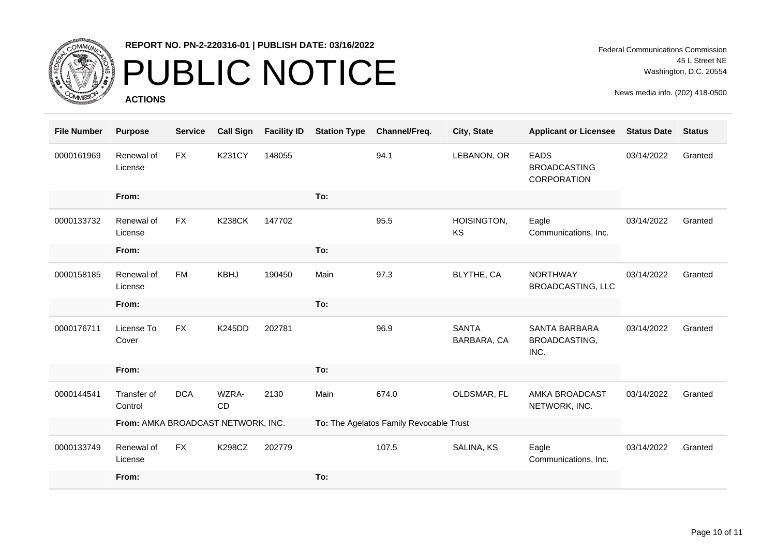

### PUBLIC NOTICE

**ACTIONS**

Federal Communications Commission 45 L Street NE Washington, D.C. 20554

| <b>File Number</b> | <b>Purpose</b>                     | <b>Service</b> | <b>Call Sign</b> | <b>Facility ID</b> | <b>Station Type</b> | Channel/Freq.                           | City, State                 | <b>Applicant or Licensee</b>                      | <b>Status Date</b> | <b>Status</b> |
|--------------------|------------------------------------|----------------|------------------|--------------------|---------------------|-----------------------------------------|-----------------------------|---------------------------------------------------|--------------------|---------------|
| 0000161969         | Renewal of<br>License              | <b>FX</b>      | <b>K231CY</b>    | 148055             |                     | 94.1                                    | LEBANON, OR                 | <b>EADS</b><br><b>BROADCASTING</b><br>CORPORATION | 03/14/2022         | Granted       |
|                    | From:                              |                |                  |                    | To:                 |                                         |                             |                                                   |                    |               |
| 0000133732         | Renewal of<br>License              | <b>FX</b>      | <b>K238CK</b>    | 147702             |                     | 95.5                                    | HOISINGTON,<br><b>KS</b>    | Eagle<br>Communications, Inc.                     | 03/14/2022         | Granted       |
|                    | From:                              |                |                  |                    | To:                 |                                         |                             |                                                   |                    |               |
| 0000158185         | Renewal of<br>License              | <b>FM</b>      | <b>KBHJ</b>      | 190450             | Main                | 97.3                                    | BLYTHE, CA                  | <b>NORTHWAY</b><br><b>BROADCASTING, LLC</b>       | 03/14/2022         | Granted       |
|                    | From:                              |                |                  |                    | To:                 |                                         |                             |                                                   |                    |               |
| 0000176711         | License To<br>Cover                | <b>FX</b>      | <b>K245DD</b>    | 202781             |                     | 96.9                                    | <b>SANTA</b><br>BARBARA, CA | SANTA BARBARA<br>BROADCASTING,<br>INC.            | 03/14/2022         | Granted       |
|                    | From:                              |                |                  |                    | To:                 |                                         |                             |                                                   |                    |               |
| 0000144541         | Transfer of<br>Control             | <b>DCA</b>     | WZRA-<br>CD      | 2130               | Main                | 674.0                                   | OLDSMAR, FL                 | AMKA BROADCAST<br>NETWORK, INC.                   | 03/14/2022         | Granted       |
|                    | From: AMKA BROADCAST NETWORK, INC. |                |                  |                    |                     | To: The Agelatos Family Revocable Trust |                             |                                                   |                    |               |
| 0000133749         | Renewal of<br>License              | <b>FX</b>      | <b>K298CZ</b>    | 202779             |                     | 107.5                                   | SALINA, KS                  | Eagle<br>Communications, Inc.                     | 03/14/2022         | Granted       |
|                    | From:                              |                |                  |                    | To:                 |                                         |                             |                                                   |                    |               |